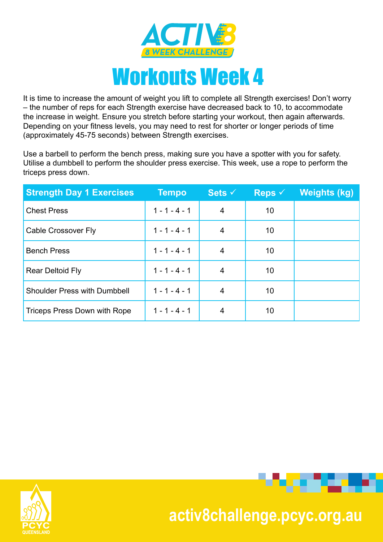

It is time to increase the amount of weight you lift to complete all Strength exercises! Don't worry – the number of reps for each Strength exercise have decreased back to 10, to accommodate the increase in weight. Ensure you stretch before starting your workout, then again afterwards. Depending on your fitness levels, you may need to rest for shorter or longer periods of time (approximately 45-75 seconds) between Strength exercises.

Use a barbell to perform the bench press, making sure you have a spotter with you for safety. Utilise a dumbbell to perform the shoulder press exercise. This week, use a rope to perform the triceps press down.

| <b>Strength Day 1 Exercises</b>     | <b>Tempo</b>    | Sets $\checkmark$ | <b>Reps</b> $\checkmark$ | <b>Weights (kg)</b> |
|-------------------------------------|-----------------|-------------------|--------------------------|---------------------|
| <b>Chest Press</b>                  | $1 - 1 - 4 - 1$ | 4                 | 10                       |                     |
| Cable Crossover Fly                 | $1 - 1 - 4 - 1$ | 4                 | 10                       |                     |
| <b>Bench Press</b>                  | $1 - 1 - 4 - 1$ | 4                 | 10                       |                     |
| <b>Rear Deltoid Fly</b>             | $1 - 1 - 4 - 1$ | 4                 | 10                       |                     |
| <b>Shoulder Press with Dumbbell</b> | $1 - 1 - 4 - 1$ | 4                 | 10                       |                     |
| Triceps Press Down with Rope        | $1 - 1 - 4 - 1$ | 4                 | 10                       |                     |





. . . . .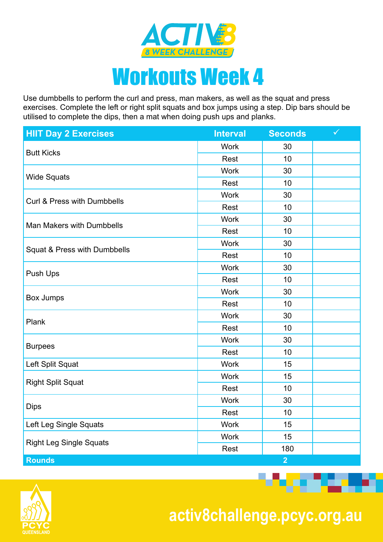

Use dumbbells to perform the curl and press, man makers, as well as the squat and press exercises. Complete the left or right split squats and box jumps using a step. Dip bars should be utilised to complete the dips, then a mat when doing push ups and planks.

| <b>HIIT Day 2 Exercises</b>      | <b>Interval</b>                                                                                                                                                                                                                                                 | <b>Seconds</b>                                                                                                                               | $\checkmark$ |
|----------------------------------|-----------------------------------------------------------------------------------------------------------------------------------------------------------------------------------------------------------------------------------------------------------------|----------------------------------------------------------------------------------------------------------------------------------------------|--------------|
|                                  | <b>Work</b>                                                                                                                                                                                                                                                     | 30                                                                                                                                           |              |
| <b>Butt Kicks</b>                | Rest                                                                                                                                                                                                                                                            | 10<br>30<br>10<br>30<br>10<br>30<br>10<br>30<br>10<br>30<br>10<br>30<br>10<br>30<br>10<br>30<br>10<br>15<br>15<br>10<br>30<br>10<br>15<br>15 |              |
|                                  | <b>Work</b>                                                                                                                                                                                                                                                     | 180<br>$\overline{2}$                                                                                                                        |              |
| <b>Wide Squats</b>               | Rest                                                                                                                                                                                                                                                            |                                                                                                                                              |              |
| Curl & Press with Dumbbells      | <b>Work</b>                                                                                                                                                                                                                                                     |                                                                                                                                              |              |
|                                  | <b>Rest</b><br><b>Work</b><br>Rest<br><b>Work</b><br>Rest<br><b>Work</b><br>Rest<br><b>Work</b><br><b>Rest</b><br><b>Work</b><br>Rest<br><b>Work</b><br>Rest<br><b>Work</b><br><b>Work</b><br>Rest<br><b>Work</b><br>Rest<br><b>Work</b><br><b>Work</b><br>Rest |                                                                                                                                              |              |
| <b>Man Makers with Dumbbells</b> |                                                                                                                                                                                                                                                                 |                                                                                                                                              |              |
|                                  |                                                                                                                                                                                                                                                                 |                                                                                                                                              |              |
|                                  |                                                                                                                                                                                                                                                                 |                                                                                                                                              |              |
| Squat & Press with Dumbbells     |                                                                                                                                                                                                                                                                 |                                                                                                                                              |              |
| Push Ups                         |                                                                                                                                                                                                                                                                 |                                                                                                                                              |              |
|                                  |                                                                                                                                                                                                                                                                 |                                                                                                                                              |              |
|                                  |                                                                                                                                                                                                                                                                 |                                                                                                                                              |              |
| Box Jumps                        |                                                                                                                                                                                                                                                                 |                                                                                                                                              |              |
|                                  |                                                                                                                                                                                                                                                                 |                                                                                                                                              |              |
| Plank                            |                                                                                                                                                                                                                                                                 |                                                                                                                                              |              |
|                                  |                                                                                                                                                                                                                                                                 |                                                                                                                                              |              |
| <b>Burpees</b>                   |                                                                                                                                                                                                                                                                 |                                                                                                                                              |              |
| Left Split Squat                 |                                                                                                                                                                                                                                                                 |                                                                                                                                              |              |
|                                  |                                                                                                                                                                                                                                                                 |                                                                                                                                              |              |
| <b>Right Split Squat</b>         |                                                                                                                                                                                                                                                                 |                                                                                                                                              |              |
|                                  |                                                                                                                                                                                                                                                                 |                                                                                                                                              |              |
| <b>Dips</b>                      |                                                                                                                                                                                                                                                                 |                                                                                                                                              |              |
| Left Leg Single Squats           |                                                                                                                                                                                                                                                                 |                                                                                                                                              |              |
|                                  |                                                                                                                                                                                                                                                                 |                                                                                                                                              |              |
| <b>Right Leg Single Squats</b>   |                                                                                                                                                                                                                                                                 |                                                                                                                                              |              |
| <b>Rounds</b>                    |                                                                                                                                                                                                                                                                 |                                                                                                                                              |              |



 **activ8challenge.pcyc.org.au**

<u> Bandari Sa</u>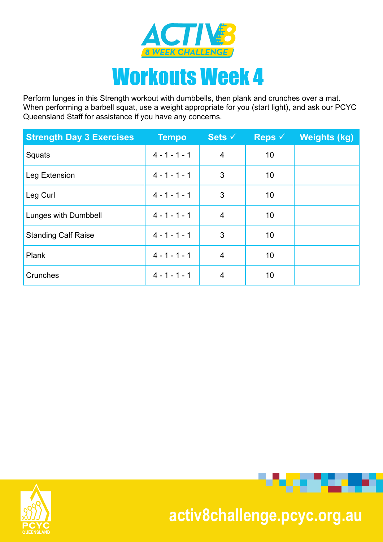

Perform lunges in this Strength workout with dumbbells, then plank and crunches over a mat. When performing a barbell squat, use a weight appropriate for you (start light), and ask our PCYC Queensland Staff for assistance if you have any concerns.

| <b>Strength Day 3 Exercises</b> | <b>Tempo</b>    | Sets $\checkmark$ | <b>Reps</b> $\checkmark$ | <b>Weights (kg)</b> |
|---------------------------------|-----------------|-------------------|--------------------------|---------------------|
| Squats                          | $4 - 1 - 1 - 1$ | $\overline{4}$    | 10                       |                     |
| Leg Extension                   | $4 - 1 - 1 - 1$ | 3                 | 10                       |                     |
| Leg Curl                        | $4 - 1 - 1 - 1$ | 3                 | 10                       |                     |
| Lunges with Dumbbell            | $4 - 1 - 1 - 1$ | 4                 | 10                       |                     |
| <b>Standing Calf Raise</b>      | $4 - 1 - 1 - 1$ | 3                 | 10                       |                     |
| Plank                           | $4 - 1 - 1 - 1$ | $\overline{4}$    | 10                       |                     |
| Crunches                        | $4 - 1 - 1 - 1$ | 4                 | 10                       |                     |





#### **activ8challenge.pcyc.org.au**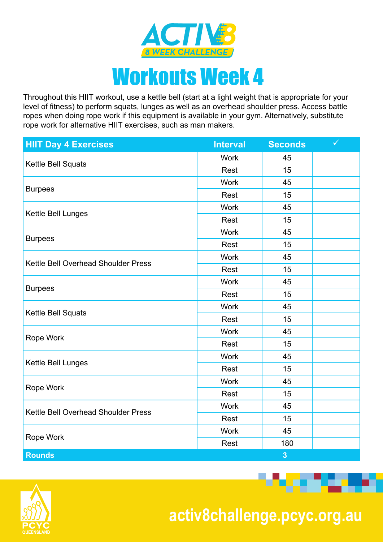

## Workouts Week 4

Throughout this HIIT workout, use a kettle bell (start at a light weight that is appropriate for your level of fitness) to perform squats, lunges as well as an overhead shoulder press. Access battle ropes when doing rope work if this equipment is available in your gym. Alternatively, substitute rope work for alternative HIIT exercises, such as man makers.

| <b>HIIT Day 4 Exercises</b>         | <b>Interval</b>                                                                                                                                                                                                                                                | <b>Seconds</b>                                                                                                                          | $\checkmark$ |
|-------------------------------------|----------------------------------------------------------------------------------------------------------------------------------------------------------------------------------------------------------------------------------------------------------------|-----------------------------------------------------------------------------------------------------------------------------------------|--------------|
|                                     | <b>Work</b>                                                                                                                                                                                                                                                    | 45                                                                                                                                      |              |
| Kettle Bell Squats                  | Rest                                                                                                                                                                                                                                                           | 15<br>45<br>15<br>45<br>15<br>45<br>15<br>45<br>15<br>45<br>15<br>45<br>15<br>45<br>15<br>45<br>15<br>45<br>15<br>45<br>15<br>45<br>180 |              |
|                                     | <b>Work</b><br>Rest<br><b>Work</b><br>Rest<br><b>Work</b><br>Rest<br><b>Work</b><br>Rest<br><b>Work</b><br>Rest<br><b>Work</b><br>Rest<br><b>Work</b><br>Rest<br><b>Work</b><br>Rest<br><b>Work</b><br>Rest<br><b>Work</b><br>Rest<br><b>Work</b><br>Rest<br>3 |                                                                                                                                         |              |
| <b>Burpees</b>                      |                                                                                                                                                                                                                                                                |                                                                                                                                         |              |
|                                     |                                                                                                                                                                                                                                                                |                                                                                                                                         |              |
| Kettle Bell Lunges                  |                                                                                                                                                                                                                                                                |                                                                                                                                         |              |
|                                     |                                                                                                                                                                                                                                                                |                                                                                                                                         |              |
| <b>Burpees</b>                      |                                                                                                                                                                                                                                                                |                                                                                                                                         |              |
|                                     |                                                                                                                                                                                                                                                                |                                                                                                                                         |              |
| Kettle Bell Overhead Shoulder Press |                                                                                                                                                                                                                                                                |                                                                                                                                         |              |
|                                     |                                                                                                                                                                                                                                                                |                                                                                                                                         |              |
| <b>Burpees</b>                      |                                                                                                                                                                                                                                                                |                                                                                                                                         |              |
|                                     |                                                                                                                                                                                                                                                                |                                                                                                                                         |              |
| Kettle Bell Squats                  |                                                                                                                                                                                                                                                                |                                                                                                                                         |              |
|                                     |                                                                                                                                                                                                                                                                |                                                                                                                                         |              |
| Rope Work                           |                                                                                                                                                                                                                                                                |                                                                                                                                         |              |
|                                     |                                                                                                                                                                                                                                                                |                                                                                                                                         |              |
| Kettle Bell Lunges                  |                                                                                                                                                                                                                                                                |                                                                                                                                         |              |
|                                     |                                                                                                                                                                                                                                                                |                                                                                                                                         |              |
| Rope Work                           |                                                                                                                                                                                                                                                                |                                                                                                                                         |              |
| Kettle Bell Overhead Shoulder Press |                                                                                                                                                                                                                                                                |                                                                                                                                         |              |
|                                     |                                                                                                                                                                                                                                                                |                                                                                                                                         |              |
|                                     |                                                                                                                                                                                                                                                                |                                                                                                                                         |              |
| Rope Work                           |                                                                                                                                                                                                                                                                |                                                                                                                                         |              |
| <b>Rounds</b>                       |                                                                                                                                                                                                                                                                |                                                                                                                                         |              |



 **activ8challenge.pcyc.org.au**

. . . .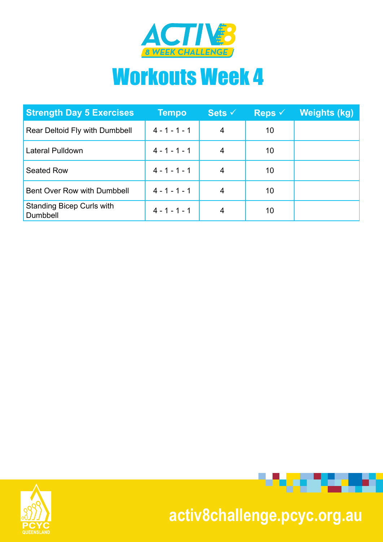

# Workouts Week 4

| <b>Strength Day 5 Exercises</b>              | Tempo           | Sets $\checkmark$ | Reps $\checkmark$ | <u>Weights (kg)</u> |
|----------------------------------------------|-----------------|-------------------|-------------------|---------------------|
| Rear Deltoid Fly with Dumbbell               | $4 - 1 - 1 - 1$ | 4                 | 10                |                     |
| Lateral Pulldown                             | $4 - 1 - 1 - 1$ |                   | 10                |                     |
| <b>Seated Row</b>                            | $4 - 1 - 1 - 1$ | 4                 | 10                |                     |
| Bent Over Row with Dumbbell                  | $4 - 1 - 1 - 1$ | 4                 | 10                |                     |
| <b>Standing Bicep Curls with</b><br>Dumbbell | $4 - 1 - 1 - 1$ | 4                 | 10                |                     |





#### **activ8challenge.pcyc.org.au**